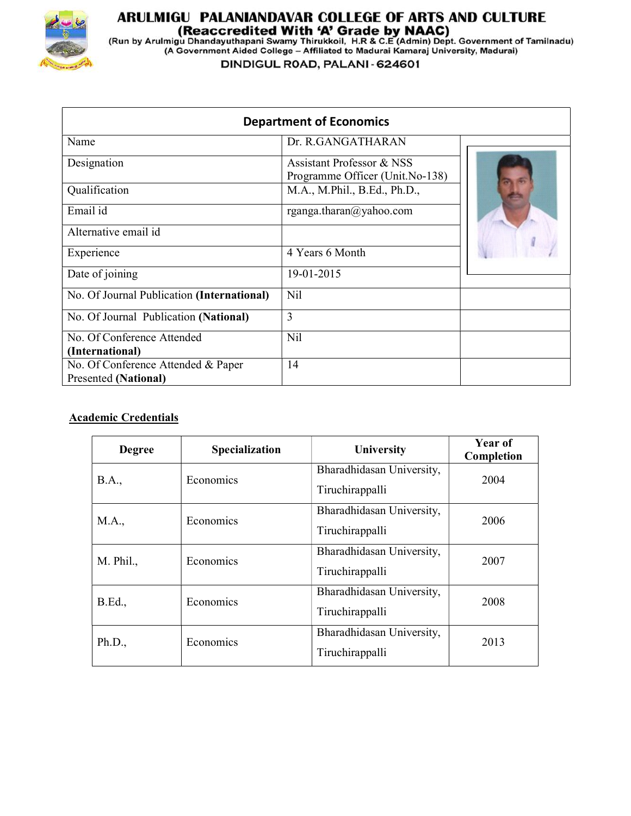

# **ARULMIGU PALANIANDAVAR COLLEGE OF ARTS AND CULTURE<br>(Reaccredited With 'A' Grade by NAAC)<br>(Run by Arulmigu Dhandayuthapani Swamy Thirukkoil, H.R & C.E (Admin) Dept. Government of Tamilnadu)<br>(A Government Aided College – Af**

DINDIGUL ROAD, PALANI - 624601

|                                            | <b>Department of Economics</b>                               |  |
|--------------------------------------------|--------------------------------------------------------------|--|
| Name                                       | Dr. R.GANGATHARAN                                            |  |
| Designation                                | Assistant Professor & NSS<br>Programme Officer (Unit.No-138) |  |
| Qualification                              | M.A., M.Phil., B.Ed., Ph.D.,                                 |  |
| Email id                                   | rganga.tharan@yahoo.com                                      |  |
| Alternative email id                       |                                                              |  |
| Experience                                 | 4 Years 6 Month                                              |  |
| Date of joining                            | 19-01-2015                                                   |  |
| No. Of Journal Publication (International) | <b>Nil</b>                                                   |  |
| No. Of Journal Publication (National)      | 3                                                            |  |
| No. Of Conference Attended                 | <b>Nil</b>                                                   |  |
| (International)                            |                                                              |  |
| No. Of Conference Attended & Paper         | 14                                                           |  |
| <b>Presented (National)</b>                |                                                              |  |

## Academic Credentials

| <b>Degree</b>  | Specialization | University                                   | Year of<br>Completion |
|----------------|----------------|----------------------------------------------|-----------------------|
| <b>B.A.,</b>   | Economics      | Bharadhidasan University,<br>Tiruchirappalli | 2004                  |
| M.A.,          | Economics      | Bharadhidasan University,<br>Tiruchirappalli | 2006                  |
| M. Phil.,      | Economics      | Bharadhidasan University,<br>Tiruchirappalli | 2007                  |
| <b>B.Ed.</b> , | Economics      | Bharadhidasan University,<br>Tiruchirappalli | 2008                  |
| Ph.D.,         | Economics      | Bharadhidasan University,<br>Tiruchirappalli | 2013                  |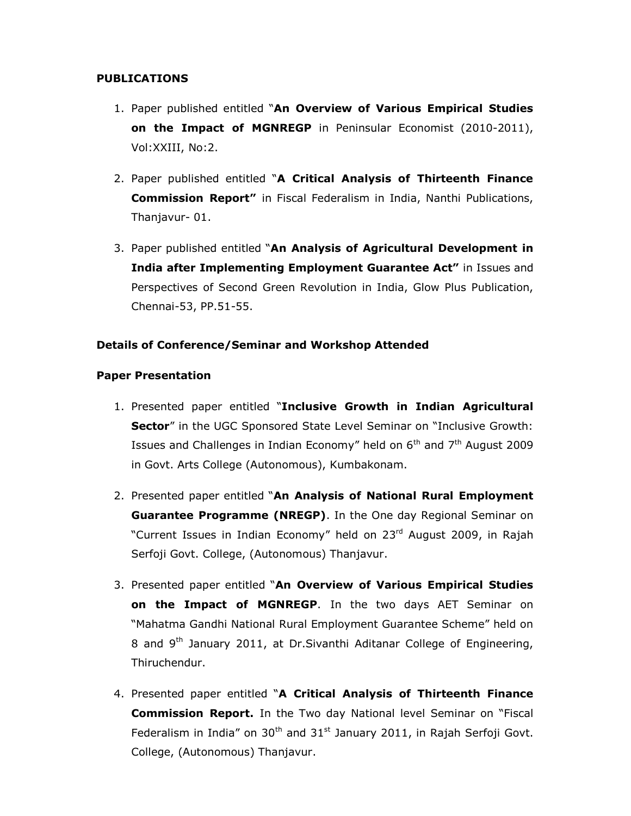### PUBLICATIONS

- 1. Paper published entitled "An Overview of Various Empirical Studies on the Impact of MGNREGP in Peninsular Economist (2010-2011), Vol:XXIII, No:2.
- 2. Paper published entitled "A Critical Analysis of Thirteenth Finance Commission Report" in Fiscal Federalism in India, Nanthi Publications, Thanjavur- 01.
- 3. Paper published entitled "An Analysis of Agricultural Development in India after Implementing Employment Guarantee Act" in Issues and Perspectives of Second Green Revolution in India, Glow Plus Publication, Chennai-53, PP.51-55.

### Details of Conference/Seminar and Workshop Attended

#### Paper Presentation

- 1. Presented paper entitled "Inclusive Growth in Indian Agricultural Sector" in the UGC Sponsored State Level Seminar on "Inclusive Growth: Issues and Challenges in Indian Economy" held on  $6<sup>th</sup>$  and  $7<sup>th</sup>$  August 2009 in Govt. Arts College (Autonomous), Kumbakonam.
- 2. Presented paper entitled "An Analysis of National Rural Employment Guarantee Programme (NREGP). In the One day Regional Seminar on "Current Issues in Indian Economy" held on 23rd August 2009, in Rajah Serfoji Govt. College, (Autonomous) Thanjavur.
- 3. Presented paper entitled "An Overview of Various Empirical Studies on the Impact of MGNREGP. In the two days AET Seminar on "Mahatma Gandhi National Rural Employment Guarantee Scheme" held on 8 and 9<sup>th</sup> January 2011, at Dr.Sivanthi Aditanar College of Engineering, Thiruchendur.
- 4. Presented paper entitled "A Critical Analysis of Thirteenth Finance Commission Report. In the Two day National level Seminar on "Fiscal Federalism in India" on  $30<sup>th</sup>$  and  $31<sup>st</sup>$  January 2011, in Rajah Serfoji Govt. College, (Autonomous) Thanjavur.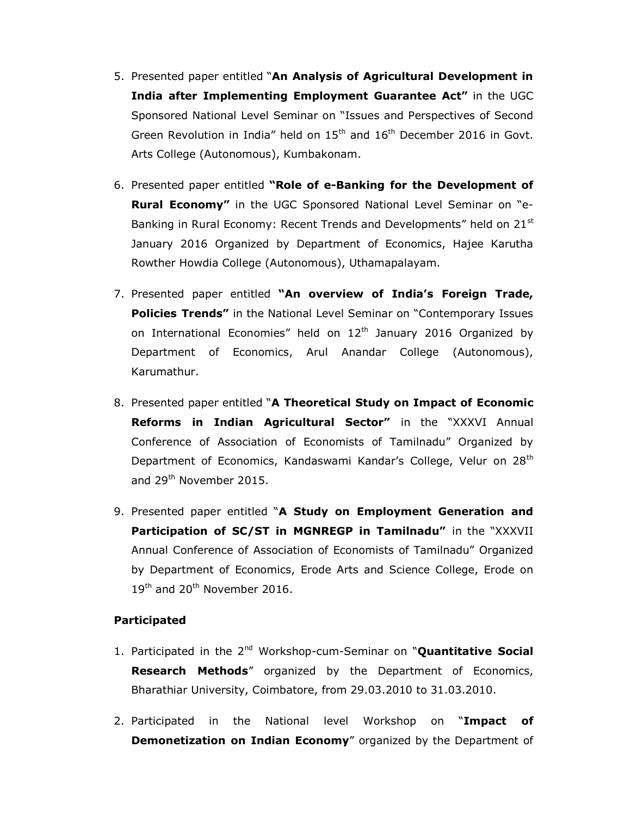- 5. Presented paper entitled "An Analysis of Agricultural Development in India after Implementing Employment Guarantee Act" in the UGC Sponsored National Level Seminar on "Issues and Perspectives of Second Green Revolution in India" held on 15<sup>th</sup> and 16<sup>th</sup> December 2016 in Govt. Arts College (Autonomous), Kumbakonam.
- 6. Presented paper entitled "Role of e-Banking for the Development of Rural Economy" in the UGC Sponsored National Level Seminar on "e-Banking in Rural Economy: Recent Trends and Developments" held on 21<sup>st</sup> January 2016 Organized by Department of Economics, Hajee Karutha Rowther Howdia College (Autonomous), Uthamapalayam.
- 7. Presented paper entitled "An overview of India's Foreign Trade, **Policies Trends"** in the National Level Seminar on "Contemporary Issues on International Economies" held on  $12<sup>th</sup>$  January 2016 Organized by Department of Economics, Arul Anandar College (Autonomous), Karumathur.
- 8. Presented paper entitled "A Theoretical Study on Impact of Economic Reforms in Indian Agricultural Sector" in the "XXXVI Annual Conference of Association of Economists of Tamilnadu" Organized by Department of Economics, Kandaswami Kandar's College, Velur on 28<sup>th</sup> and 29<sup>th</sup> November 2015.
- 9. Presented paper entitled "A Study on Employment Generation and Participation of SC/ST in MGNREGP in Tamilnadu" in the "XXXVII Annual Conference of Association of Economists of Tamilnadu" Organized by Department of Economics, Erode Arts and Science College, Erode on 19<sup>th</sup> and 20<sup>th</sup> November 2016.

## Participated

- 1. Participated in the 2<sup>nd</sup> Workshop-cum-Seminar on "Quantitative Social Research Methods" organized by the Department of Economics, Bharathiar University, Coimbatore, from 29.03.2010 to 31.03.2010.
- 2. Participated in the National level Workshop on "Impact of Demonetization on Indian Economy" organized by the Department of